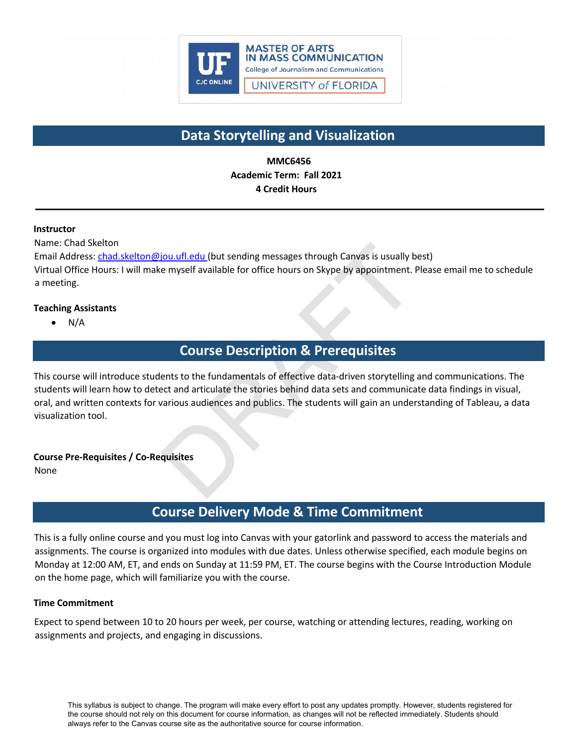

# **Data Storytelling and Visualization**

**MMC6456 Academic Term: Fall 2021 4 Credit Hours**

# **Instructor**

Name: Chad Skelton

Email Address: [chad.skelton@jou.ufl.edu](mailto:chad.skelton@jou.ufl.edu) (but sending messages through Canvas is usually best) Virtual Office Hours: I will make myself available for office hours on Skype by appointment. Please email me to schedule a meeting.

# **Teaching Assistants**

• N/A

# **Course Description & Prerequisites**

Fould also use through Canyas is usually be myself available for office hours on Skype by appointment. If the myself available for office hours on Skype by appointment. If the myself available for office hours on Skype by This course will introduce students to the fundamentals of effective data-driven storytelling and communications. The students will learn how to detect and articulate the stories behind data sets and communicate data findings in visual, oral, and written contexts for various audiences and publics. The students will gain an understanding of Tableau, a data visualization tool.

# **Course Pre-Requisites / Co-Requisites**

None

# **Course Delivery Mode & Time Commitment**

This is a fully online course and you must log into Canvas with your gatorlink and password to access the materials and assignments. The course is organized into modules with due dates. Unless otherwise specified, each module begins on Monday at 12:00 AM, ET, and ends on Sunday at 11:59 PM, ET. The course begins with the Course Introduction Module on the home page, which will familiarize you with the course.

# **Time Commitment**

Expect to spend between 10 to 20 hours per week, per course, watching or attending lectures, reading, working on assignments and projects, and engaging in discussions.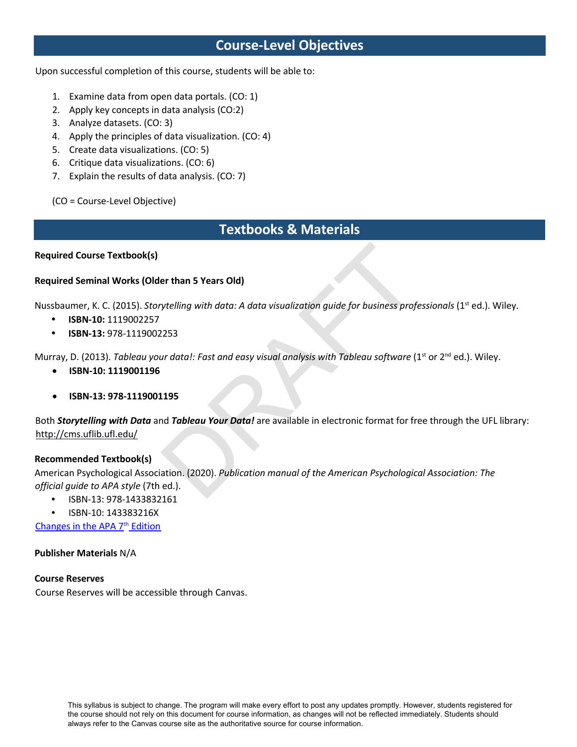# **Course-Level Objectives**

Upon successful completion of this course, students will be able to:

- 1. Examine data from open data portals. (CO: 1)
- 2. Apply key concepts in data analysis (CO:2)
- 3. Analyze datasets. (CO: 3)
- 4. Apply the principles of data visualization. (CO: 4)
- 5. Create data visualizations. (CO: 5)
- 6. Critique data visualizations. (CO: 6)
- 7. Explain the results of data analysis. (CO: 7)

(CO = Course-Level Objective)

# **Textbooks & Materials**

# **Required Course Textbook(s)**

# **Required Seminal Works (Older than 5 Years Old)**

Nussbaumer, K. C. (2015). *Storytelling with data: A data visualization guide for business professionals* (1<sup>st</sup> ed.). Wiley.

- **ISBN-10:** 1119002257
- **ISBN-13:** 978-1119002253

Murray, D. (2013). *Tableau your data!: Fast and easy visual analysis with Tableau software (1<sup>st</sup> or 2<sup>nd</sup> ed.). Wiley.* 

- **ISBN-10: 1119001196**
- **ISBN-13: 978-1119001195**

er than 5 Years Old)<br>
ytelling with data: A data visualization guide for business prof<br>
2253<br>
ur data!: Fast and easy visual analysis with Tableau software (<br>
195<br>
nd Tableau Your Data! are available in electronic format f Both *Storytelling with Data* and *Tableau Your Data!* are available in electronic format for free through the UFL library: <http://cms.uflib.ufl.edu/>

# **Recommended Textbook(s)**

American Psychological Association. (2020). *Publication manual of the American Psychological Association: The official guide to APA style* (7th ed.).

- ISBN-13: 978-1433832161
- ISBN-10: 143383216X

Changes in the APA 7th Edition

# **Publisher Materials** N/A

# **Course Reserves**

Course Reserves will be accessible through Canvas.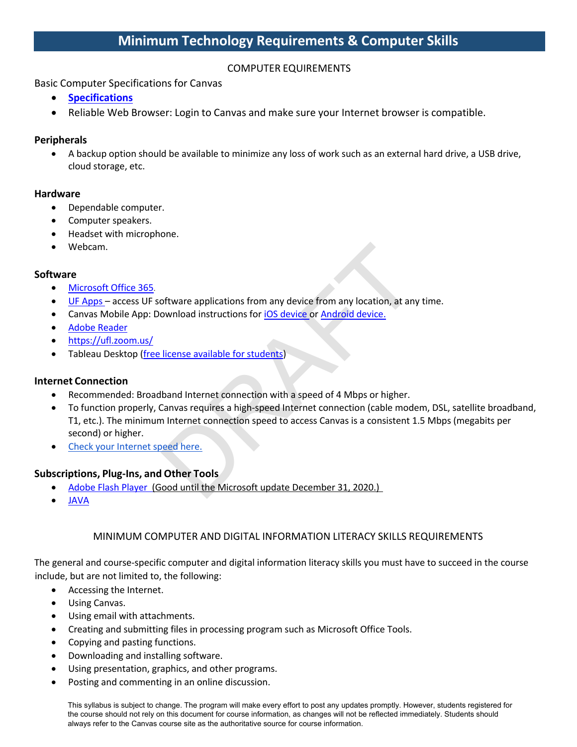# COMPUTER EQUIREMENTS

# Basic Computer Specifications for Canvas

- **Specifications**
- Reliable Web Browser: Login to Canvas and make sure your Internet browser is compatible.

# **Peripherals**

• A backup option should be available to minimize any loss of work such as an external hard drive, a USB drive, cloud storage, etc.

# **Hardware**

- Dependable computer.
- Computer speakers.
- Headset with microphone.
- Webcam.

# **Software**

- Microsoft Office 365.
- UF Apps access UF software applications from any device from any location, at any time.
- Canvas Mobile App: Download instructions for **iOS** device or Android device.
- Adobe Reader
- https://ufl.zoom.us/
- Tableau Desktop (free license available for students)

# **Internet Connection**

- Recommended: Broadband Internet connection with a speed of 4 Mbps or higher.
- oftware applications from any device from any location, at any<br>ownload instructions for <u>iOS device</u> or <u>Android device.</u><br>Iicense available for students)<br>Deand Internet connection with a speed of 4 Mbps or higher.<br>Canvas r • To function properly, Canvas requires a high-speed Internet connection (cable modem, DSL, satellite broadband, T1, etc.). The minimum Internet connection speed to access Canvas is a consistent 1.5 Mbps (megabits per second) or higher.
- Check your Internet speed here.

# **Subscriptions, Plug-Ins, and Other Tools**

- Adobe Flash Player (Good until the Microsoft update December 31, 2020.)
- JAVA

# MINIMUM COMPUTER AND DIGITAL INFORMATION LITERACY SKILLS REQUIREMENTS

The general and course-specific computer and digital information literacy skills you must have to succeed in the course include, but are not limited to, the following:

- Accessing the Internet.
- Using Canvas.
- Using email with attachments.
- Creating and submitting files in processing program such as Microsoft Office Tools.
- Copying and pasting functions.
- Downloading and installing software.
- Using presentation, graphics, and other programs.
- Posting and commenting in an online discussion.

This syllabus is subject to change. The program will make every effort to post any updates promptly. However, students registered for the course should not rely on this document for course information, as changes will not be reflected immediately. Students should always refer to the Canvas course site as the authoritative source for course information.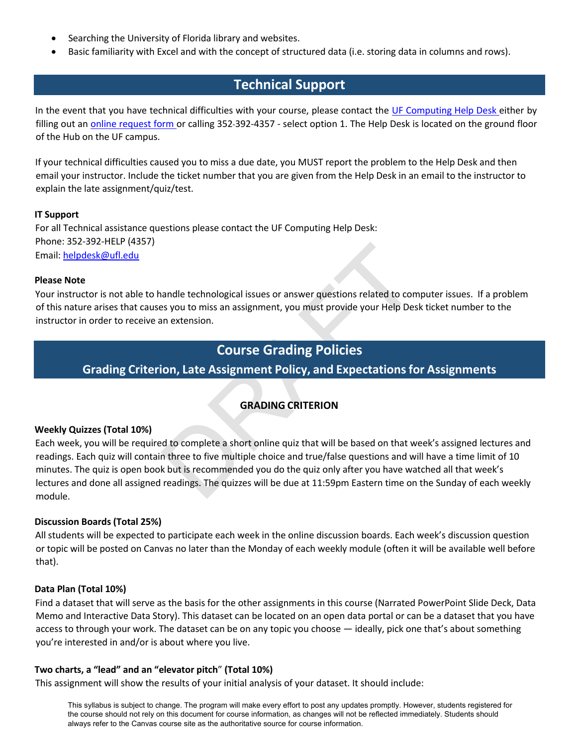- Searching the University of Florida library and websites.
- Basic familiarity with Excel and with the concept of structured data (i.e. storing data in columns and rows).

# **Technical Support**

In the event that you have technical difficulties with your course, please contact the UF Computing Help Desk either by filling out an online request form or calling 352-392-4357 - select option 1. The Help Desk is located on the ground floor of the Hub on the UF campus.

If your technical difficulties caused you to miss a due date, you MUST report the problem to the Help Desk and then email your instructor. Include the ticket number that you are given from the Help Desk in an email to the instructor to explain the late assignment/quiz/test.

# **IT Support**

For all Technical assistance questions please contact the UF Computing Help Desk: Phone: 352-392-HELP (4357) Email: [helpdesk@ufl.edu](mailto:helpdesk@ufl.edu)

# **Please Note**

Your instructor is not able to handle technological issues or answer questions related to computer issues. If a problem of this nature arises that causes you to miss an assignment, you must provide your Help Desk ticket number to the instructor in order to receive an extension.

# **Course Grading Policies**

**Grading Criterion, Late Assignment Policy, and Expectations for Assignments**

# **GRADING CRITERION**

# **Weekly Quizzes (Total 10%)**

andle technological issues or answer questions related to compare and the mextension.<br>
Solution iss an assignment, you must provide your Help Desempt actension.<br> **COUITSE Grading Policies**<br> **COUITSE Grading Policies**<br> **COU** Each week, you will be required to complete a short online quiz that will be based on that week's assigned lectures and readings. Each quiz will contain three to five multiple choice and true/false questions and will have a time limit of 10 minutes. The quiz is open book but is recommended you do the quiz only after you have watched all that week's lectures and done all assigned readings. The quizzes will be due at 11:59pm Eastern time on the Sunday of each weekly module.

# **Discussion Boards (Total 25%)**

All students will be expected to participate each week in the online discussion boards. Each week's discussion question or topic will be posted on Canvas no later than the Monday of each weekly module (often it will be available well before that).

# **Data Plan (Total 10%)**

Find a dataset that will serve as the basis for the other assignments in this course (Narrated PowerPoint Slide Deck, Data Memo and Interactive Data Story). This dataset can be located on an open data portal or can be a dataset that you have access to through your work. The dataset can be on any topic you choose — ideally, pick one that's about something you're interested in and/or is about where you live.

# **Two charts, a "lead" and an "elevator pitch**" **(Total 10%)**

This assignment will show the results of your initial analysis of your dataset. It should include:

This syllabus is subject to change. The program will make every effort to post any updates promptly. However, students registered for the course should not rely on this document for course information, as changes will not be reflected immediately. Students should always refer to the Canvas course site as the authoritative source for course information.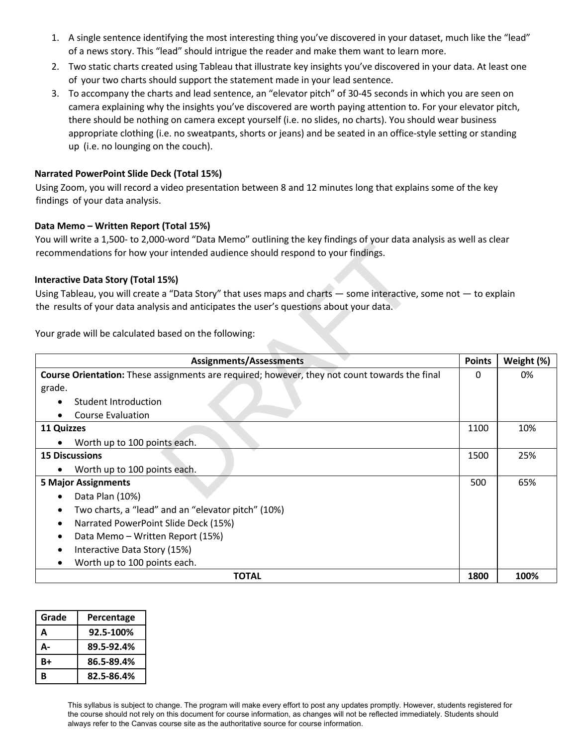- 1. A single sentence identifying the most interesting thing you've discovered in your dataset, much like the "lead" of a news story. This "lead" should intrigue the reader and make them want to learn more.
- 2. Two static charts created using Tableau that illustrate key insights you've discovered in your data. At least one of your two charts should support the statement made in your lead sentence.
- 3. To accompany the charts and lead sentence, an "elevator pitch" of 30-45 seconds in which you are seen on camera explaining why the insights you've discovered are worth paying attention to. For your elevator pitch, there should be nothing on camera except yourself (i.e. no slides, no charts). You should wear business appropriate clothing (i.e. no sweatpants, shorts or jeans) and be seated in an office-style setting or standing up (i.e. no lounging on the couch).

# **Narrated PowerPoint Slide Deck (Total 15%)**

Using Zoom, you will record a video presentation between 8 and 12 minutes long that explains some of the key findings of your data analysis.

# **Data Memo – Written Report (Total 15%)**

You will write a 1,500- to 2,000-word "Data Memo" outlining the key findings of your data analysis as well as clear recommendations for how your intended audience should respond to your findings.

# **Interactive Data Story (Total 15%)**

| recommendations for how your intended audience should respond to your findings.                                   |               |            |  |
|-------------------------------------------------------------------------------------------------------------------|---------------|------------|--|
| <b>Interactive Data Story (Total 15%)</b>                                                                         |               |            |  |
| Using Tableau, you will create a "Data Story" that uses maps and charts - some interactive, some not - to explain |               |            |  |
| the results of your data analysis and anticipates the user's questions about your data.                           |               |            |  |
| Your grade will be calculated based on the following:                                                             |               |            |  |
| <b>Assignments/Assessments</b>                                                                                    | <b>Points</b> | Weight (%) |  |
| Course Orientation: These assignments are required; however, they not count towards the final                     | 0             | 0%         |  |
| grade.                                                                                                            |               |            |  |
| Student Introduction                                                                                              |               |            |  |
| <b>Course Evaluation</b>                                                                                          |               |            |  |
| 11 Quizzes                                                                                                        | 1100          | 10%        |  |
| Worth up to 100 points each.                                                                                      |               |            |  |
| <b>15 Discussions</b>                                                                                             | 1500          | 25%        |  |
| Worth up to 100 points each.                                                                                      |               |            |  |
| <b>5 Major Assignments</b>                                                                                        | 500           | 65%        |  |
| Data Plan (10%)                                                                                                   |               |            |  |
| Two charts, a "lead" and an "elevator pitch" (10%)<br>$\bullet$                                                   |               |            |  |
| Narrated PowerPoint Slide Deck (15%)<br>٠                                                                         |               |            |  |
| Data Memo - Written Report (15%)<br>$\bullet$                                                                     |               |            |  |
| Interactive Data Story (15%)                                                                                      |               |            |  |
| Worth up to 100 points each.<br>٠                                                                                 |               |            |  |
| <b>TOTAL</b>                                                                                                      | 1800          | 100%       |  |

| Grade | Percentage |
|-------|------------|
| A     | 92.5-100%  |
| Д-    | 89.5-92.4% |
| B+    | 86.5-89.4% |
| R     | 82.5-86.4% |

This syllabus is subject to change. The program will make every effort to post any updates promptly. However, students registered for the course should not rely on this document for course information, as changes will not be reflected immediately. Students should always refer to the Canvas course site as the authoritative source for course information.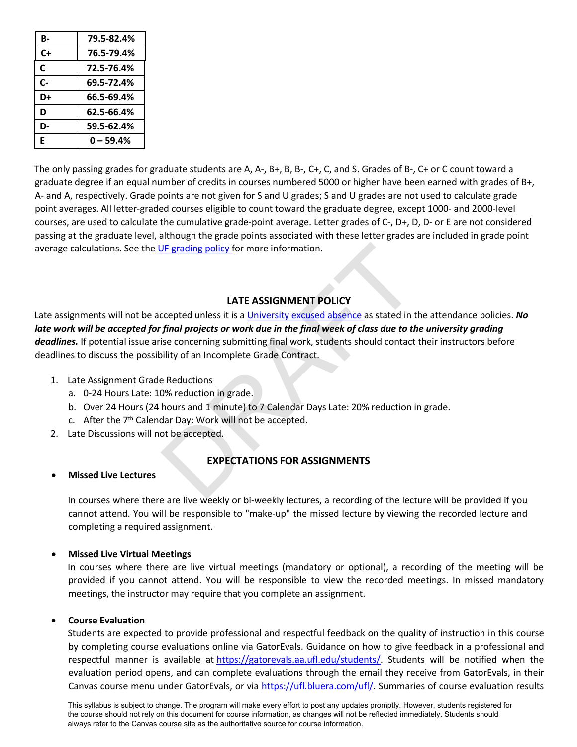| В-    | 79.5-82.4%  |
|-------|-------------|
| $C+$  | 76.5-79.4%  |
| C     | 72.5-76.4%  |
| $C -$ | 69.5-72.4%  |
| D+    | 66.5-69.4%  |
| D     | 62.5-66.4%  |
| D-    | 59.5-62.4%  |
| E     | $0 - 59.4%$ |

The only passing grades for graduate students are A, A-, B+, B, B-, C+, C, and S. Grades of B-, C+ or C count toward a graduate degree if an equal number of credits in courses numbered 5000 or higher have been earned with grades of B+, A- and A, respectively. Grade points are not given for S and U grades; S and U grades are not used to calculate grade point averages. All letter-graded courses eligible to count toward the graduate degree, except 1000- and 2000-level courses, are used to calculate the cumulative grade-point average. Letter grades of C-, D+, D, D- or E are not considered passing at the graduate level, although the grade points associated with these letter grades are included in grade point average calculations. See the UF grading policy for more information.

# **LATE ASSIGNMENT POLICY**

**IF grading policy for more information.**<br> **LATE ASSIGNMENT POLICY**<br> **CECTED CONTRIGHT COLOR**<br> **CECTED CONTRIGHT COLOR**<br> **CECTED CONTRIGHT CONTRIGHT CONTRIGHT CONTRIGHT CONTRIGHT CONTRIGHT CONTRIGHT CONTRIGHT CONTRIGHT CON** Late assignments will not be accepted unless it is a University excused absence as stated in the attendance policies. *No*  late work will be accepted for final projects or work due in the final week of class due to the university grading *deadlines.* If potential issue arise concerning submitting final work, students should contact their instructors before deadlines to discuss the possibility of an Incomplete Grade Contract.

- 1. Late Assignment Grade Reductions
	- a. 0-24 Hours Late: 10% reduction in grade.
	- b. Over 24 Hours (24 hours and 1 minute) to 7 Calendar Days Late: 20% reduction in grade.
	- c. After the 7th Calendar Day: Work will not be accepted.
- 2. Late Discussions will not be accepted.

#### **EXPECTATIONS FOR ASSIGNMENTS**

#### • **Missed Live Lectures**

In courses where there are live weekly or bi-weekly lectures, a recording of the lecture will be provided if you cannot attend. You will be responsible to "make-up" the missed lecture by viewing the recorded lecture and completing a required assignment.

#### • **Missed Live Virtual Meetings**

In courses where there are live virtual meetings (mandatory or optional), a recording of the meeting will be provided if you cannot attend. You will be responsible to view the recorded meetings. In missed mandatory meetings, the instructor may require that you complete an assignment.

#### • **Course Evaluation**

Students are expected to provide professional and respectful feedback on the quality of instruction in this course by completing course evaluations online via GatorEvals. Guidance on how to give feedback in a professional and respectful manner is available at https://gatorevals.aa.ufl.edu/students/. Students will be notified when the evaluation period opens, and can complete evaluations through the email they receive from GatorEvals, in their Canvas course menu under GatorEvals, or via https://ufl.bluera.com/ufl/. Summaries of course evaluation results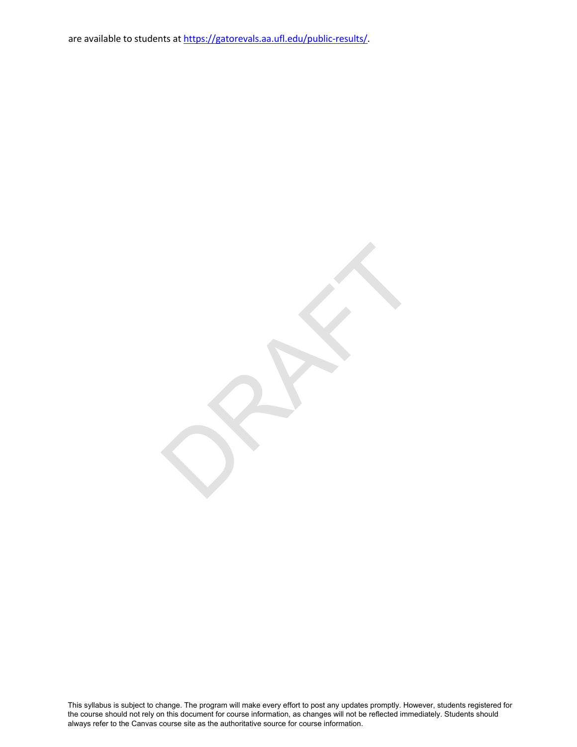are available to students at https://gatorevals.aa.ufl.edu/public-results/.

RAFT

This syllabus is subject to change. The program will make every effort to post any updates promptly. However, students registered for the course should not rely on this document for course information, as changes will not be reflected immediately. Students should always refer to the Canvas course site as the authoritative source for course information.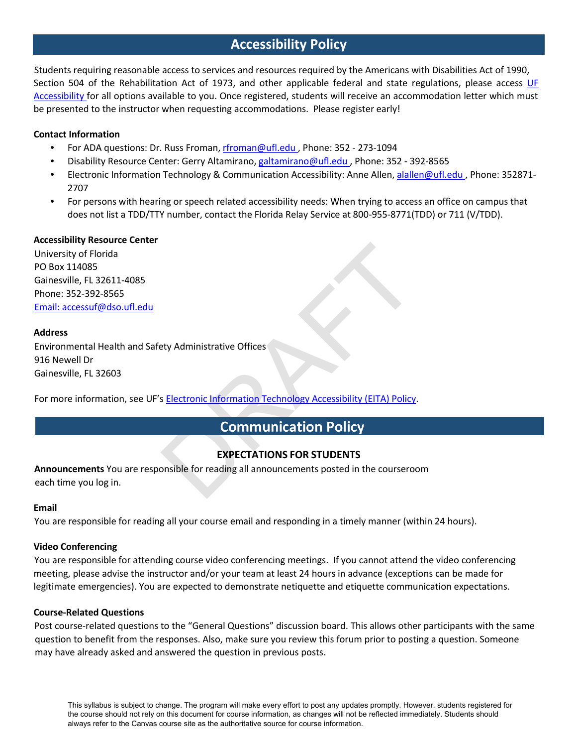# **Accessibility Policy**

Students requiring reasonable access to services and resources required by the Americans with Disabilities Act of 1990, Section 504 of the Rehabilitation Act of 1973, and other applicable federal and state regulations, please access UF Accessibility for all options available to you. Once registered, students will receive an accommodation letter which must be presented to the instructor when requesting accommodations. Please register early!

### **Contact Information**

- For ADA questions: Dr. Russ Froman, [rfroman@ufl.edu](mailto:rfroman@ufl.edu), Phone: 352 273-1094
- Disability Resource Center: Gerry Altamirano, galtamirano@ufl.edu, Phone: 352 392-8565
- Electronic Information Technology & Communication Accessibility: Anne Allen, [alallen@ufl.edu](mailto:alallen@ufl.edu), Phone: 352871-2707
- For persons with hearing or speech related accessibility needs: When trying to access an office on campus that does not list a TDD/TTY number, contact the Florida Relay Service at 800-955-8771(TDD) or 711 (V/TDD).

# **Accessibility Resource Center**

University of Florida PO Box 114085 Gainesville, FL 32611-4085 Phone: 352-392-8565 Email: [accessuf@dso.ufl.edu](mailto:accessuf@dso.ufl.edu)

#### **Address**

Environmental Health and Safety Administrative Offices 916 Newell Dr Gainesville, FL 32603

For more information, see UF's Electronic Information Technology Accessibility (EITA) Policy.

# **EXPECTATIONS FOR STUDENTS**

Expected information Technology Accessibility (EITA) Policy<br>SELECTION TECHNOLOGY Accessibility (EITA) Policy<br>Communication Policy<br>EXPECTATIONS FOR STUDENTS<br>DRAFTS DRAFTS Analogy and announcements posted in the courseror **Announcements** You are responsible for reading all announcements posted in the courseroom each time you log in.

#### **Email**

You are responsible for reading all your course email and responding in a timely manner (within 24 hours).

# **Video Conferencing**

You are responsible for attending course video conferencing meetings. If you cannot attend the video conferencing meeting, please advise the instructor and/or your team at least 24 hours in advance (exceptions can be made for legitimate emergencies). You are expected to demonstrate netiquette and etiquette communication expectations.

#### **Course-Related Questions**

Post course-related questions to the "General Questions" discussion board. This allows other participants with the same question to benefit from the responses. Also, make sure you review this forum prior to posting a question. Someone may have already asked and answered the question in previous posts.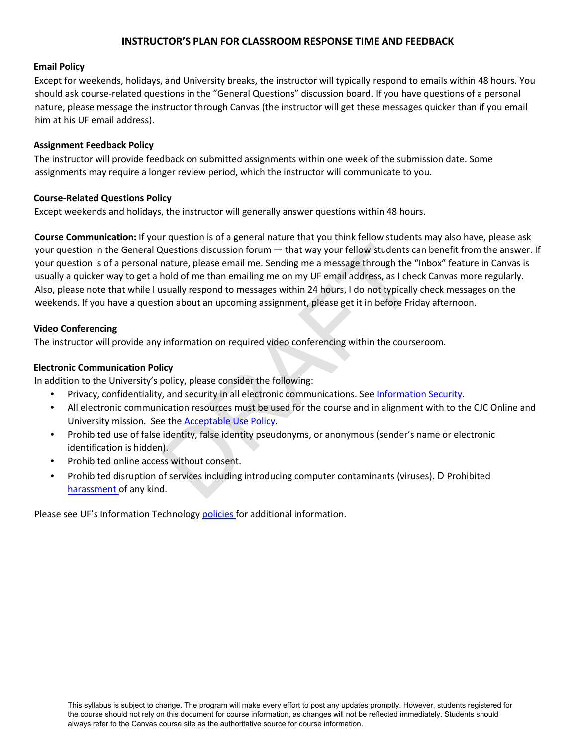# **INSTRUCTOR'S PLAN FOR CLASSROOM RESPONSE TIME AND FEEDBACK**

#### **Email Policy**

Except for weekends, holidays, and University breaks, the instructor will typically respond to emails within 48 hours. You should ask course-related questions in the "General Questions" discussion board. If you have questions of a personal nature, please message the instructor through Canvas (the instructor will get these messages quicker than if you email him at his UF email address).

#### **Assignment Feedback Policy**

The instructor will provide feedback on submitted assignments within one week of the submission date. Some assignments may require a longer review period, which the instructor will communicate to you.

#### **Course-Related Questions Policy**

Except weekends and holidays, the instructor will generally answer questions within 48 hours.

Questions discussion forum — that way your fellow students conture, please email me. Sending me a message through the "hold of me than emailing me on my UF email address, as I che usually respond to messages within 24 hour **Course Communication:** If your question is of a general nature that you think fellow students may also have, please ask your question in the General Questions discussion forum — that way your fellow students can benefit from the answer. If your question is of a personal nature, please email me. Sending me a message through the "Inbox" feature in Canvas is usually a quicker way to get a hold of me than emailing me on my UF email address, as I check Canvas more regularly. Also, please note that while I usually respond to messages within 24 hours, I do not typically check messages on the weekends. If you have a question about an upcoming assignment, please get it in before Friday afternoon.

#### **Video Conferencing**

The instructor will provide any information on required video conferencing within the courseroom.

#### **Electronic Communication Policy**

In addition to the University's policy, please consider the following:

- Privacy, confidentiality, and security in all electronic communications. See Information Security.
- All electronic communication resources must be used for the course and in alignment with to the CJC Online and University mission. See the Acceptable Use Policy.
- Prohibited use of false identity, false identity pseudonyms, or anonymous (sender's name or electronic identification is hidden).
- Prohibited online access without consent.
- Prohibited disruption of services including introducing computer contaminants (viruses). D Prohibited harassment of any kind.

Please see UF's Information Technology policies for additional information.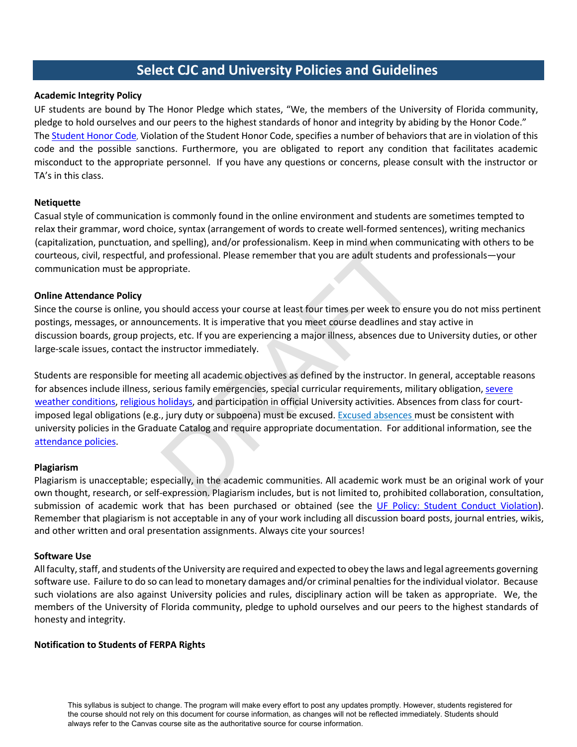# **Select CJC and University Policies and Guidelines**

### **Academic Integrity Policy**

UF students are bound by The Honor Pledge which states, "We, the members of the University of Florida community, pledge to hold ourselves and our peers to the highest standards of honor and integrity by abiding by the Honor Code." The Student Honor Code, Violation of the Student Honor Code, specifies a number of behaviorsthat are in violation of this code and the possible sanctions. Furthermore, you are obligated to report any condition that facilitates academic misconduct to the appropriate personnel. If you have any questions or concerns, please consult with the instructor or TA's in this class.

#### **Netiquette**

Casual style of communication is commonly found in the online environment and students are sometimes tempted to relax their grammar, word choice, syntax (arrangement of words to create well-formed sentences), writing mechanics (capitalization, punctuation, and spelling), and/or professionalism. Keep in mind when communicating with others to be courteous, civil, respectful, and professional. Please remember that you are adult students and professionals—your communication must be appropriate.

#### **Online Attendance Policy**

Since the course is online, you should access your course at least four times per week to ensure you do not miss pertinent postings, messages, or announcements. It is imperative that you meet course deadlines and stay active in discussion boards, group projects, etc. If you are experiencing a major illness, absences due to University duties, or other large-scale issues, contact the instructor immediately.

In spenning), and/or protessionalism. Keep in mind when comm<br>d professional. Please remember that you are adult students a<br>ppriate.<br>should access your course at least four times per week to ens<br>necements. It is imperative Students are responsible for meeting all academic objectives as defined by the instructor. In general, acceptable reasons for absences include illness, serious family emergencies, special curricular requirements, military obligation, severe weather conditions, religious holidays, and participation in official University activities. Absences from class for courtimposed legal obligations (e.g., jury duty or subpoena) must be excused. Excused absences must be consistent with university policies in the Graduate Catalog and require appropriate documentation. For additional information, see the attendance policies.

#### **Plagiarism**

Plagiarism is unacceptable; especially, in the academic communities. All academic work must be an original work of your own thought, research, or self-expression. Plagiarism includes, but is not limited to, prohibited collaboration, consultation, submission of academic work that has been purchased or obtained (see the UF Policy: Student Conduct Violation). Remember that plagiarism is not acceptable in any of your work including all discussion board posts, journal entries, wikis, and other written and oral presentation assignments. Always cite your sources!

#### **Software Use**

All faculty, staff, and students of the University are required and expected to obey the laws and legal agreements governing software use. Failure to do so can lead to monetary damages and/or criminal penalties for the individual violator. Because such violations are also against University policies and rules, disciplinary action will be taken as appropriate. We, the members of the University of Florida community, pledge to uphold ourselves and our peers to the highest standards of honesty and integrity.

#### **Notification to Students of FERPA Rights**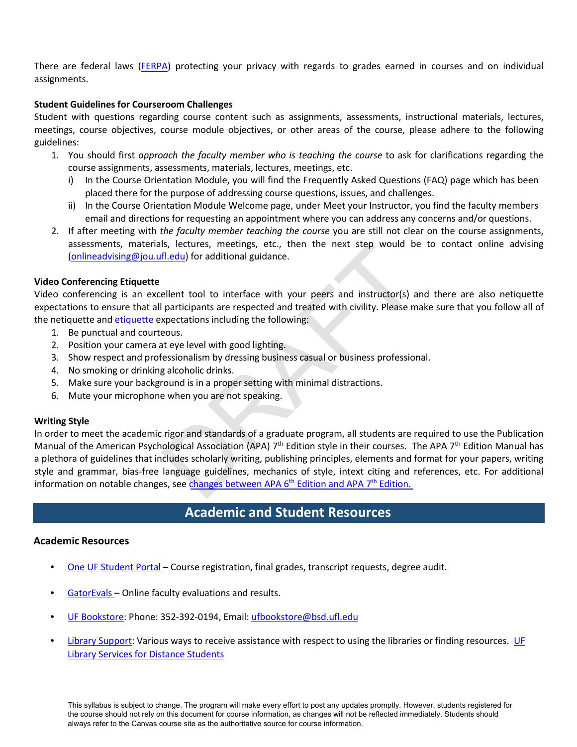There are federal laws (FERPA) protecting your privacy with regards to grades earned in courses and on individual assignments.

# **Student Guidelines for Courseroom Challenges**

Student with questions regarding course content such as assignments, assessments, instructional materials, lectures, meetings, course objectives, course module objectives, or other areas of the course, please adhere to the following guidelines:

- 1. You should first *approach the faculty member who is teaching the course* to ask for clarifications regarding the course assignments, assessments, materials, lectures, meetings, etc.
	- i) In the Course Orientation Module, you will find the Frequently Asked Questions (FAQ) page which has been placed there for the purpose of addressing course questions, issues, and challenges.
	- ii) In the Course Orientation Module Welcome page, under Meet your Instructor, you find the faculty members email and directions for requesting an appointment where you can address any concerns and/or questions.
- 2. If after meeting with *the faculty member teaching the course* you are still not clear on the course assignments, assessments, materials, lectures, meetings, etc., then the next step would be to contact online advising (onlineadvising@jou.ufl.edu) for additional guidance.

# **Video Conferencing Etiquette**

Video conferencing is an excellent tool to interface with your peers and instructor(s) and there are also netiquette expectations to ensure that all participants are respected and treated with civility. Please make sure that you follow all of the netiquette and etiquette expectations including the following:

- 1. Be punctual and courteous.
- 2. Position your camera at eye level with good lighting.
- 3. Show respect and professionalism by dressing business casual or business professional.
- 4. No smoking or drinking alcoholic drinks.
- 5. Make sure your background is in a proper setting with minimal distractions.
- 6. Mute your microphone when you are not speaking.

# **Writing Style**

Is, lectures, meetings, etc., then the next step would be<br>
<u>fl.edu</u>) for additional guidance.<br>
ellent tool to interface with your peers and instructor(s) a<br>
ellent tool to interface with your peers and instructor(s) a<br>
pa In order to meet the academic rigor and standards of a graduate program, all students are required to use the Publication Manual of the American Psychological Association (APA)  $7<sup>th</sup>$  Edition style in their courses. The APA  $7<sup>th</sup>$  Edition Manual has a plethora of guidelines that includes scholarly writing, publishing principles, elements and format for your papers, writing style and grammar, bias-free language guidelines, mechanics of style, intext citing and references, etc. For additional information on notable changes, see changes between APA  $6<sup>th</sup>$  Edition and APA  $7<sup>th</sup>$  Edition.

# **Academic and Student Resources**

# **Academic Resources**

- One UF Student Portal Course registration, final grades, transcript requests, degree audit.
- GatorEvals Online faculty evaluations and results.
- UF Bookstore: Phone: 352-392-0194, Email: [ufbookstore@bsd.ufl.edu](mailto:ufbookstore@bsd.ufl.edu)
- Library Support: Various ways to receive assistance with respect to using the libraries or finding resources. UF Library Services for Distance Students